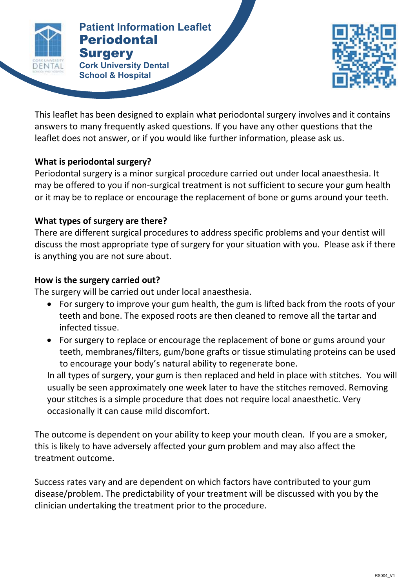

#### **Patient Information Leaflet PERIODONTAL SURGERY Patient Information Leaflet** Periodontal **Surgery**

**Cork University Dental School & Hospital**



This leaflet has been designed to explain what periodontal surgery involves and it contains answers to many frequently asked questions. If you have any other questions that the leaflet does not answer, or if you would like further information, please ask us.

# **What is periodontal surgery?**

Periodontal surgery is a minor surgical procedure carried out under local anaesthesia. It may be offered to you if non-surgical treatment is not sufficient to secure your gum health or it may be to replace or encourage the replacement of bone or gums around your teeth.

### **What types of surgery are there?**

There are different surgical procedures to address specific problems and your dentist will discuss the most appropriate type of surgery for your situation with you. Please ask if there is anything you are not sure about.

# **How is the surgery carried out?**

The surgery will be carried out under local anaesthesia.

- For surgery to improve your gum health, the gum is lifted back from the roots of your teeth and bone. The exposed roots are then cleaned to remove all the tartar and infected tissue.
- For surgery to replace or encourage the replacement of bone or gums around your teeth, membranes/filters, gum/bone grafts or tissue stimulating proteins can be used to encourage your body's natural ability to regenerate bone.

In all types of surgery, your gum is then replaced and held in place with stitches. You will usually be seen approximately one week later to have the stitches removed. Removing your stitches is a simple procedure that does not require local anaesthetic. Very occasionally it can cause mild discomfort.

The outcome is dependent on your ability to keep your mouth clean. If you are a smoker, this is likely to have adversely affected your gum problem and may also affect the treatment outcome.

Success rates vary and are dependent on which factors have contributed to your gum disease/problem. The predictability of your treatment will be discussed with you by the clinician undertaking the treatment prior to the procedure.